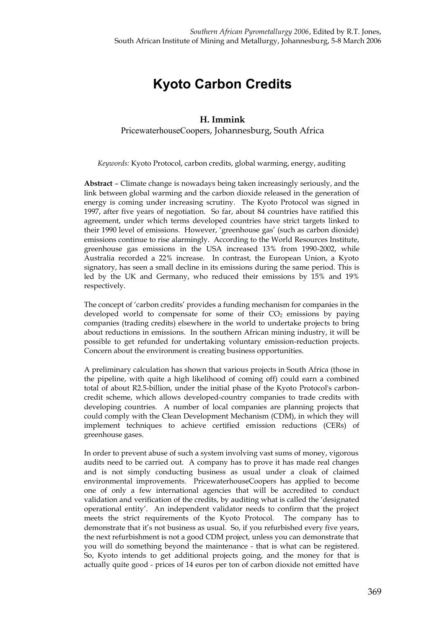## **Kyoto Carbon Credits**

## **H. Immink** PricewaterhouseCoopers, Johannesburg, South Africa

*Keywords:* Kyoto Protocol, carbon credits, global warming, energy, auditing

**Abstract** – Climate change is nowadays being taken increasingly seriously, and the link between global warming and the carbon dioxide released in the generation of energy is coming under increasing scrutiny. The Kyoto Protocol was signed in 1997, after five years of negotiation. So far, about 84 countries have ratified this agreement, under which terms developed countries have strict targets linked to their 1990 level of emissions. However, 'greenhouse gas' (such as carbon dioxide) emissions continue to rise alarmingly. According to the World Resources Institute, greenhouse gas emissions in the USA increased 13% from 1990-2002, while Australia recorded a 22% increase. In contrast, the European Union, a Kyoto signatory, has seen a small decline in its emissions during the same period. This is led by the UK and Germany, who reduced their emissions by 15% and 19% respectively.

The concept of 'carbon credits' provides a funding mechanism for companies in the developed world to compensate for some of their  $CO<sub>2</sub>$  emissions by paying companies (trading credits) elsewhere in the world to undertake projects to bring about reductions in emissions. In the southern African mining industry, it will be possible to get refunded for undertaking voluntary emission-reduction projects. Concern about the environment is creating business opportunities.

A preliminary calculation has shown that various projects in South Africa (those in the pipeline, with quite a high likelihood of coming off) could earn a combined total of about R2.5-billion, under the initial phase of the Kyoto Protocol's carboncredit scheme, which allows developed-country companies to trade credits with developing countries. A number of local companies are planning projects that could comply with the Clean Development Mechanism (CDM), in which they will implement techniques to achieve certified emission reductions (CERs) of greenhouse gases.

In order to prevent abuse of such a system involving vast sums of money, vigorous audits need to be carried out. A company has to prove it has made real changes and is not simply conducting business as usual under a cloak of claimed environmental improvements. PricewaterhouseCoopers has applied to become one of only a few international agencies that will be accredited to conduct validation and verification of the credits, by auditing what is called the 'designated operational entity'. An independent validator needs to confirm that the project meets the strict requirements of the Kyoto Protocol. The company has to demonstrate that it's not business as usual. So, if you refurbished every five years, the next refurbishment is not a good CDM project, unless you can demonstrate that you will do something beyond the maintenance - that is what can be registered. So, Kyoto intends to get additional projects going, and the money for that is actually quite good - prices of 14 euros per ton of carbon dioxide not emitted have